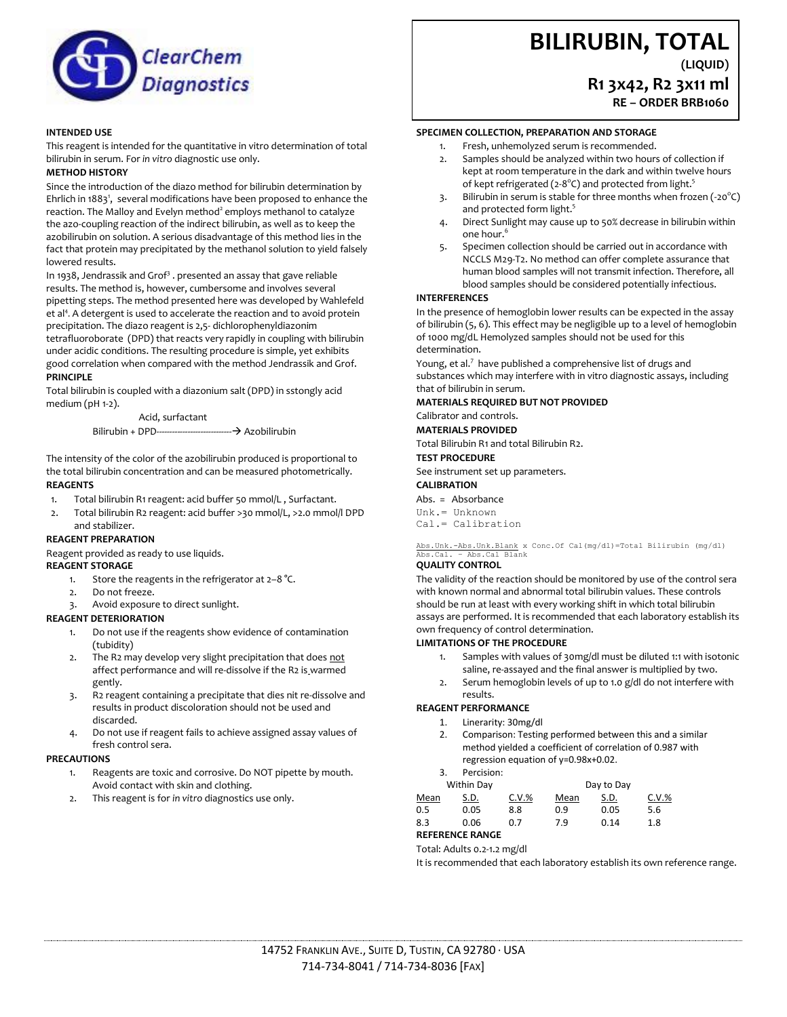

#### **INTENDED USE**

This reagent is intended for the quantitative in vitro determination of total bilirubin in serum. For *in vitro* diagnostic use only.

#### **METHOD HISTORY**

Since the introduction of the diazo method for bilirubin determination by Ehrlich in 1883<sup>1</sup>, several modifications have been proposed to enhance the reaction. The Malloy and Evelyn method<sup>2</sup> employs methanol to catalyze the azo-coupling reaction of the indirect bilirubin, as well as to keep the azobilirubin on solution. A serious disadvantage of this method lies in the fact that protein may precipitated by the methanol solution to yield falsely lowered results.

In 1938, Jendrassik and Grof<sup>3</sup>. presented an assay that gave reliable results. The method is, however, cumbersome and involves several pipetting steps. The method presented here was developed by Wahlefeld et al<sup>4</sup>. A detergent is used to accelerate the reaction and to avoid protein precipitation. The diazo reagent is 2,5- dichlorophenyldiazonim tetrafluoroborate (DPD) that reacts very rapidly in coupling with bilirubin under acidic conditions. The resulting procedure is simple, yet exhibits good correlation when compared with the method Jendrassik and Grof.

#### **PRINCIPLE**

Total bilirubin is coupled with a diazonium salt (DPD) in sstongly acid medium (pH 1-2).

> Acid, surfactant Bilirubin + DPD----------------------------- Azobilirubin

The intensity of the color of the azobilirubin produced is proportional to the total bilirubin concentration and can be measured photometrically. **REAGENTS**

- 1. Total bilirubin R1 reagent: acid buffer 50 mmol/L , Surfactant.
- 2. Total bilirubin R2 reagent: acid buffer >30 mmol/L, >2.0 mmol/l DPD and stabilizer.

#### **REAGENT PREPARATION**

Reagent provided as ready to use liquids.

#### **REAGENT STORAGE**

- 1. Store the reagents in the refrigerator at  $2-8$  °C.
- 2. Do not freeze.
- 3. Avoid exposure to direct sunlight.

#### **REAGENT DETERIORATION**

- 1. Do not use if the reagents show evidence of contamination (tubidity)
- The R2 may develop very slight precipitation that does not affect performance and will re-dissolve if the R2 is warmed gently.
- 3. R2 reagent containing a precipitate that dies nit re-dissolve and results in product discoloration should not be used and discarded.
- 4. Do not use if reagent fails to achieve assigned assay values of fresh control sera.

#### **PRECAUTIONS**

- 1. Reagents are toxic and corrosive. Do NOT pipette by mouth. Avoid contact with skin and clothing.
- 2. This reagent is for *in vitro* diagnostics use only.

# **BILIRUBIN, TOTAL**

# **(LIQUID) R1 3x42, R2 3x11 ml RE – ORDER BRB1060**

#### **SPECIMEN COLLECTION, PREPARATION AND STORAGE**

- 1. Fresh, unhemolyzed serum is recommended.
- Samples should be analyzed within two hours of collection if kept at room temperature in the dark and within twelve hours of kept refrigerated (2-8°C) and protected from light.<sup>5</sup>
- 3. Bilirubin in serum is stable for three months when frozen (-20 $\textdegree C$ ) and protected form light.<sup>5</sup>
- 4. Direct Sunlight may cause up to 50% decrease in bilirubin within one hour.<sup>6</sup>
- 5. Specimen collection should be carried out in accordance with NCCLS M29-T2. No method can offer complete assurance that human blood samples will not transmit infection. Therefore, all blood samples should be considered potentially infectious.

### **INTERFERENCES**

In the presence of hemoglobin lower results can be expected in the assay of bilirubin (5, 6). This effect may be negligible up to a level of hemoglobin of 1000 mg/dL Hemolyzed samples should not be used for this determination.

Young, et al.<sup>7</sup> have published a comprehensive list of drugs and substances which may interfere with in vitro diagnostic assays, including that of bilirubin in serum.

#### **MATERIALS REQUIRED BUT NOT PROVIDED**

Calibrator and controls.

**MATERIALS PROVIDED**

Total Bilirubin R1 and total Bilirubin R2.

## **TEST PROCEDURE**

See instrument set up parameters.

# **CALIBRATION**

Abs. = Absorbance

Unk.= Unknown Cal.= Calibration

#### Abs.Unk.-Abs.Unk.Blank x Conc.Of Cal(mg/dl)=Total Bilirubin (mg/dl) Abs.Cal. – Abs.Cal Blank

#### **QUALITY CONTROL**

The validity of the reaction should be monitored by use of the control sera with known normal and abnormal total bilirubin values. These controls should be run at least with every working shift in which total bilirubin assays are performed. It is recommended that each laboratory establish its own frequency of control determination.

#### **LIMITATIONS OF THE PROCEDURE**

- Samples with values of 30mg/dl must be diluted 1:1 with isotonic saline, re-assayed and the final answer is multiplied by two.
- 2. Serum hemoglobin levels of up to 1.0 g/dl do not interfere with results.

## **REAGENT PERFORMANCE**

- 1. Linerarity: 30mg/dl
- 2. Comparison: Testing performed between this and a similar method yielded a coefficient of correlation of 0.987 with regression equation of y=0.98x+0.02.
- 3. Percision:

| Within Day |      |          | Day to Day |      |          |
|------------|------|----------|------------|------|----------|
| Mean       | S.D. | $C.V.$ % | Mean       | S.D. | $C.V.$ % |
| 0.5        | 0.05 | 8.8      | 0.9        | 0.05 | 5.6      |
| 8.3        | 0.06 | 0.7      | 7.9        | 0.14 | 1.8      |
|            |      |          |            |      |          |

# **REFERENCE RANGE**

## Total: Adults 0.2-1.2 mg/dl

It is recommended that each laboratory establish its own reference range.